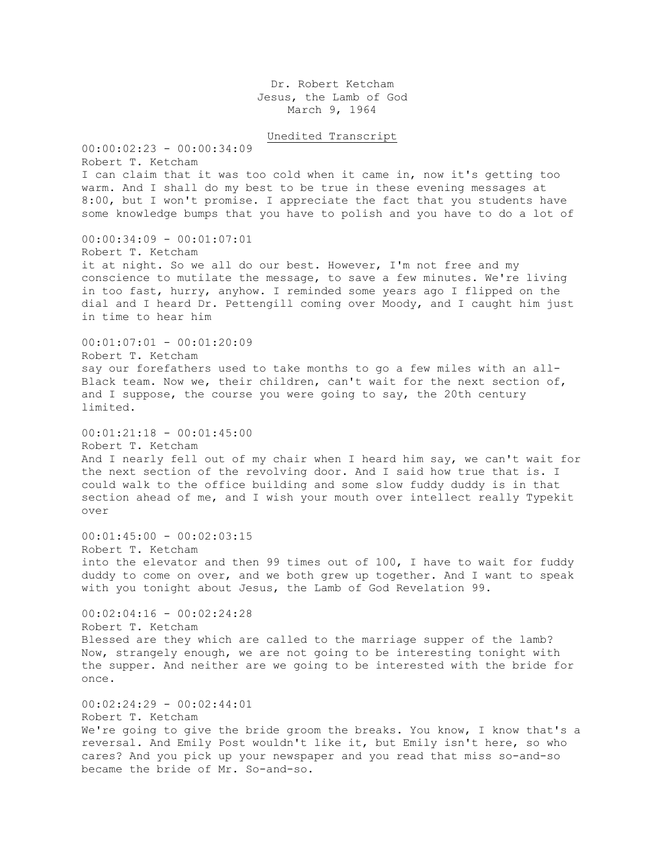Dr. Robert Ketcham Jesus, the Lamb of God March 9, 1964

Unedited Transcript

00:00:02:23 - 00:00:34:09 Robert T. Ketcham I can claim that it was too cold when it came in, now it's getting too warm. And I shall do my best to be true in these evening messages at 8:00, but I won't promise. I appreciate the fact that you students have some knowledge bumps that you have to polish and you have to do a lot of 00:00:34:09 - 00:01:07:01 Robert T. Ketcham it at night. So we all do our best. However, I'm not free and my conscience to mutilate the message, to save a few minutes. We're living in too fast, hurry, anyhow. I reminded some years ago I flipped on the dial and I heard Dr. Pettengill coming over Moody, and I caught him just in time to hear him  $00:01:07:01 - 00:01:20:09$ Robert T. Ketcham say our forefathers used to take months to go a few miles with an all-Black team. Now we, their children, can't wait for the next section of, and I suppose, the course you were going to say, the 20th century limited.  $00:01:21:18 - 00:01:45:00$ Robert T. Ketcham And I nearly fell out of my chair when I heard him say, we can't wait for the next section of the revolving door. And I said how true that is. I could walk to the office building and some slow fuddy duddy is in that section ahead of me, and I wish your mouth over intellect really Typekit over  $00:01:45:00 - 00:02:03:15$ Robert T. Ketcham into the elevator and then 99 times out of 100, I have to wait for fuddy duddy to come on over, and we both grew up together. And I want to speak with you tonight about Jesus, the Lamb of God Revelation 99.  $00:02:04:16 - 00:02:24:28$ Robert T. Ketcham Blessed are they which are called to the marriage supper of the lamb? Now, strangely enough, we are not going to be interesting tonight with the supper. And neither are we going to be interested with the bride for once. 00:02:24:29 - 00:02:44:01 Robert T. Ketcham We're going to give the bride groom the breaks. You know, I know that's a reversal. And Emily Post wouldn't like it, but Emily isn't here, so who cares? And you pick up your newspaper and you read that miss so-and-so

became the bride of Mr. So-and-so.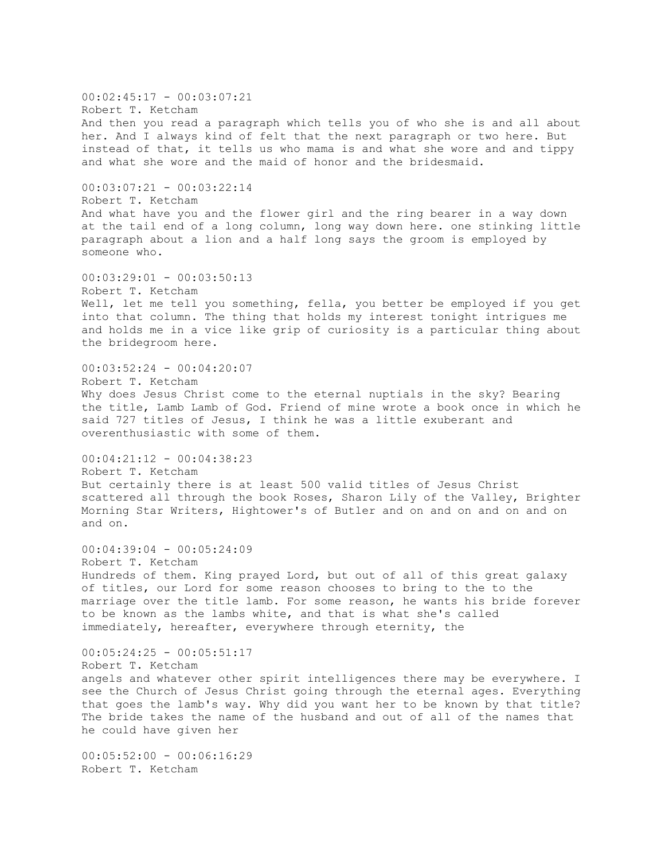$00:02:45:17 - 00:03:07:21$ Robert T. Ketcham And then you read a paragraph which tells you of who she is and all about her. And I always kind of felt that the next paragraph or two here. But instead of that, it tells us who mama is and what she wore and and tippy and what she wore and the maid of honor and the bridesmaid. 00:03:07:21 - 00:03:22:14 Robert T. Ketcham And what have you and the flower girl and the ring bearer in a way down at the tail end of a long column, long way down here. one stinking little paragraph about a lion and a half long says the groom is employed by someone who.  $00:03:29:01 - 00:03:50:13$ Robert T. Ketcham Well, let me tell you something, fella, you better be employed if you get into that column. The thing that holds my interest tonight intrigues me and holds me in a vice like grip of curiosity is a particular thing about the bridegroom here. 00:03:52:24 - 00:04:20:07 Robert T. Ketcham Why does Jesus Christ come to the eternal nuptials in the sky? Bearing the title, Lamb Lamb of God. Friend of mine wrote a book once in which he said 727 titles of Jesus, I think he was a little exuberant and overenthusiastic with some of them. 00:04:21:12 - 00:04:38:23 Robert T. Ketcham But certainly there is at least 500 valid titles of Jesus Christ scattered all through the book Roses, Sharon Lily of the Valley, Brighter Morning Star Writers, Hightower's of Butler and on and on and on and on and on. 00:04:39:04 - 00:05:24:09 Robert T. Ketcham Hundreds of them. King prayed Lord, but out of all of this great galaxy of titles, our Lord for some reason chooses to bring to the to the marriage over the title lamb. For some reason, he wants his bride forever to be known as the lambs white, and that is what she's called immediately, hereafter, everywhere through eternity, the  $00:05:24:25 - 00:05:51:17$ Robert T. Ketcham angels and whatever other spirit intelligences there may be everywhere. I see the Church of Jesus Christ going through the eternal ages. Everything that goes the lamb's way. Why did you want her to be known by that title? The bride takes the name of the husband and out of all of the names that he could have given her  $00:05:52:00 - 00:06:16:29$ 

Robert T. Ketcham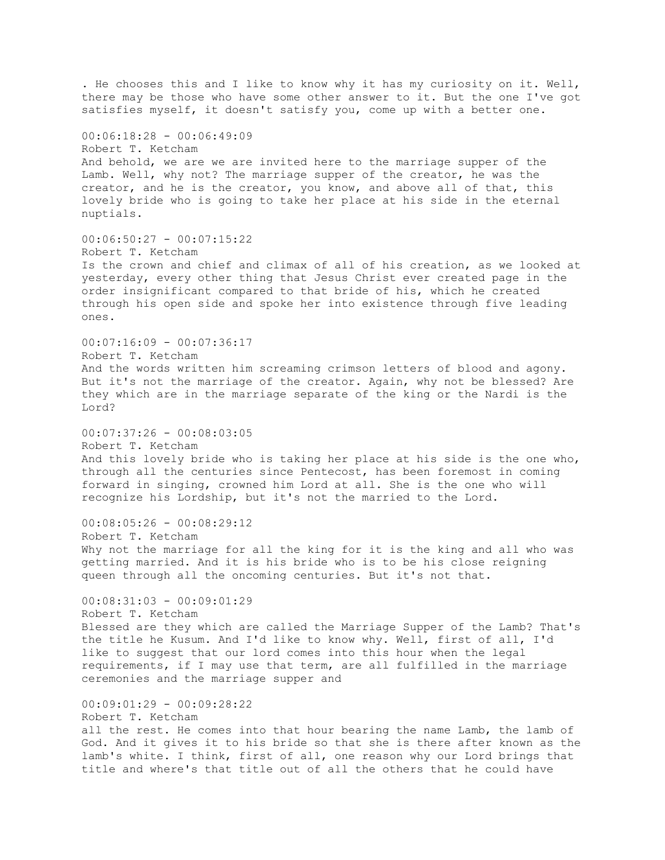. He chooses this and I like to know why it has my curiosity on it. Well, there may be those who have some other answer to it. But the one I've got satisfies myself, it doesn't satisfy you, come up with a better one. 00:06:18:28 - 00:06:49:09 Robert T. Ketcham And behold, we are we are invited here to the marriage supper of the Lamb. Well, why not? The marriage supper of the creator, he was the creator, and he is the creator, you know, and above all of that, this lovely bride who is going to take her place at his side in the eternal nuptials.  $00:06:50:27 - 00:07:15:22$ Robert T. Ketcham Is the crown and chief and climax of all of his creation, as we looked at yesterday, every other thing that Jesus Christ ever created page in the order insignificant compared to that bride of his, which he created through his open side and spoke her into existence through five leading ones.  $00:07:16:09 - 00:07:36:17$ Robert T. Ketcham And the words written him screaming crimson letters of blood and agony. But it's not the marriage of the creator. Again, why not be blessed? Are they which are in the marriage separate of the king or the Nardi is the Lord? 00:07:37:26 - 00:08:03:05 Robert T. Ketcham And this lovely bride who is taking her place at his side is the one who, through all the centuries since Pentecost, has been foremost in coming forward in singing, crowned him Lord at all. She is the one who will recognize his Lordship, but it's not the married to the Lord. 00:08:05:26 - 00:08:29:12 Robert T. Ketcham Why not the marriage for all the king for it is the king and all who was getting married. And it is his bride who is to be his close reigning queen through all the oncoming centuries. But it's not that. 00:08:31:03 - 00:09:01:29 Robert T. Ketcham Blessed are they which are called the Marriage Supper of the Lamb? That's the title he Kusum. And I'd like to know why. Well, first of all, I'd like to suggest that our lord comes into this hour when the legal requirements, if I may use that term, are all fulfilled in the marriage ceremonies and the marriage supper and 00:09:01:29 - 00:09:28:22 Robert T. Ketcham all the rest. He comes into that hour bearing the name Lamb, the lamb of God. And it gives it to his bride so that she is there after known as the lamb's white. I think, first of all, one reason why our Lord brings that title and where's that title out of all the others that he could have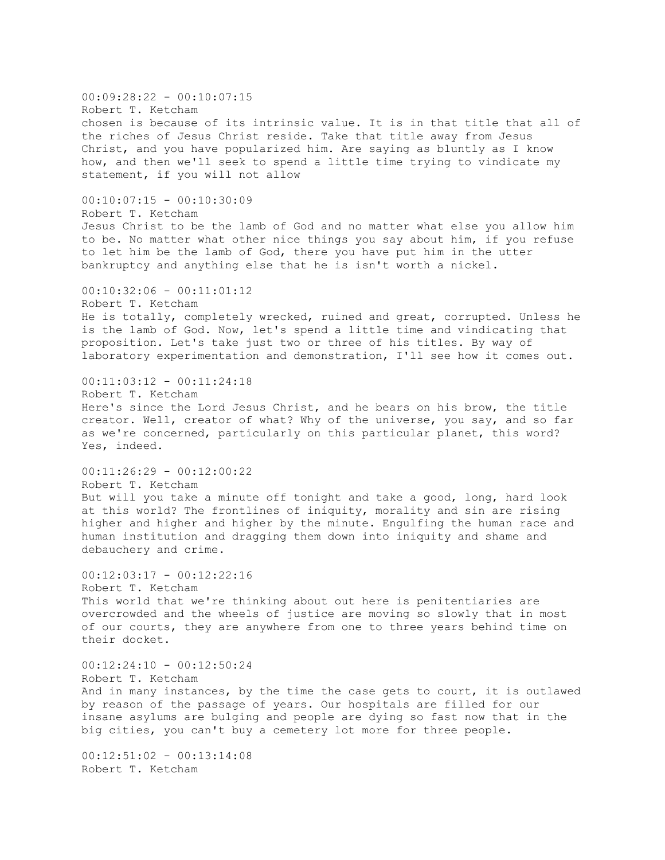$00:09:28:22 - 00:10:07:15$ Robert T. Ketcham chosen is because of its intrinsic value. It is in that title that all of the riches of Jesus Christ reside. Take that title away from Jesus Christ, and you have popularized him. Are saying as bluntly as I know how, and then we'll seek to spend a little time trying to vindicate my statement, if you will not allow  $00:10:07:15 - 00:10:30:09$ Robert T. Ketcham Jesus Christ to be the lamb of God and no matter what else you allow him to be. No matter what other nice things you say about him, if you refuse to let him be the lamb of God, there you have put him in the utter bankruptcy and anything else that he is isn't worth a nickel.  $00:10:32:06 - 00:11:01:12$ Robert T. Ketcham He is totally, completely wrecked, ruined and great, corrupted. Unless he is the lamb of God. Now, let's spend a little time and vindicating that proposition. Let's take just two or three of his titles. By way of laboratory experimentation and demonstration, I'll see how it comes out. 00:11:03:12 - 00:11:24:18 Robert T. Ketcham Here's since the Lord Jesus Christ, and he bears on his brow, the title creator. Well, creator of what? Why of the universe, you say, and so far as we're concerned, particularly on this particular planet, this word? Yes, indeed. 00:11:26:29 - 00:12:00:22 Robert T. Ketcham But will you take a minute off tonight and take a good, long, hard look at this world? The frontlines of iniquity, morality and sin are rising higher and higher and higher by the minute. Engulfing the human race and human institution and dragging them down into iniquity and shame and debauchery and crime.  $00:12:03:17 - 00:12:22:16$ Robert T. Ketcham This world that we're thinking about out here is penitentiaries are overcrowded and the wheels of justice are moving so slowly that in most of our courts, they are anywhere from one to three years behind time on their docket.  $00:12:24:10 - 00:12:50:24$ Robert T. Ketcham And in many instances, by the time the case gets to court, it is outlawed by reason of the passage of years. Our hospitals are filled for our insane asylums are bulging and people are dying so fast now that in the big cities, you can't buy a cemetery lot more for three people. 00:12:51:02 - 00:13:14:08 Robert T. Ketcham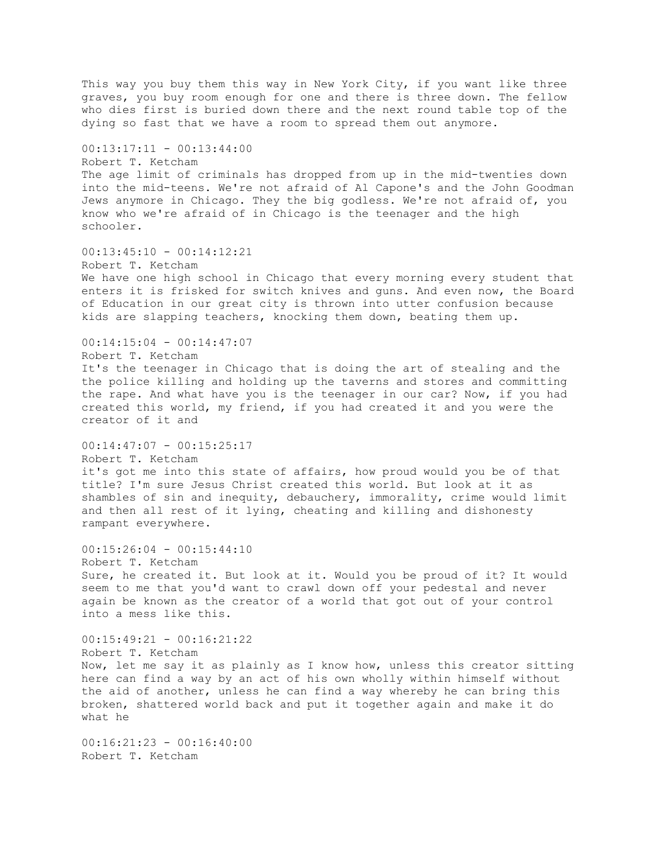This way you buy them this way in New York City, if you want like three graves, you buy room enough for one and there is three down. The fellow who dies first is buried down there and the next round table top of the dying so fast that we have a room to spread them out anymore.  $00:13:17:11 - 00:13:44:00$ Robert T. Ketcham The age limit of criminals has dropped from up in the mid-twenties down into the mid-teens. We're not afraid of Al Capone's and the John Goodman Jews anymore in Chicago. They the big godless. We're not afraid of, you know who we're afraid of in Chicago is the teenager and the high schooler. 00:13:45:10 - 00:14:12:21 Robert T. Ketcham We have one high school in Chicago that every morning every student that enters it is frisked for switch knives and guns. And even now, the Board of Education in our great city is thrown into utter confusion because kids are slapping teachers, knocking them down, beating them up. 00:14:15:04 - 00:14:47:07 Robert T. Ketcham It's the teenager in Chicago that is doing the art of stealing and the the police killing and holding up the taverns and stores and committing the rape. And what have you is the teenager in our car? Now, if you had created this world, my friend, if you had created it and you were the creator of it and  $00:14:47:07 - 00:15:25:17$ Robert T. Ketcham it's got me into this state of affairs, how proud would you be of that title? I'm sure Jesus Christ created this world. But look at it as shambles of sin and inequity, debauchery, immorality, crime would limit and then all rest of it lying, cheating and killing and dishonesty rampant everywhere. 00:15:26:04 - 00:15:44:10 Robert T. Ketcham Sure, he created it. But look at it. Would you be proud of it? It would seem to me that you'd want to crawl down off your pedestal and never again be known as the creator of a world that got out of your control into a mess like this.  $00:15:49:21 - 00:16:21:22$ Robert T. Ketcham Now, let me say it as plainly as I know how, unless this creator sitting here can find a way by an act of his own wholly within himself without the aid of another, unless he can find a way whereby he can bring this broken, shattered world back and put it together again and make it do what he 00:16:21:23 - 00:16:40:00 Robert T. Ketcham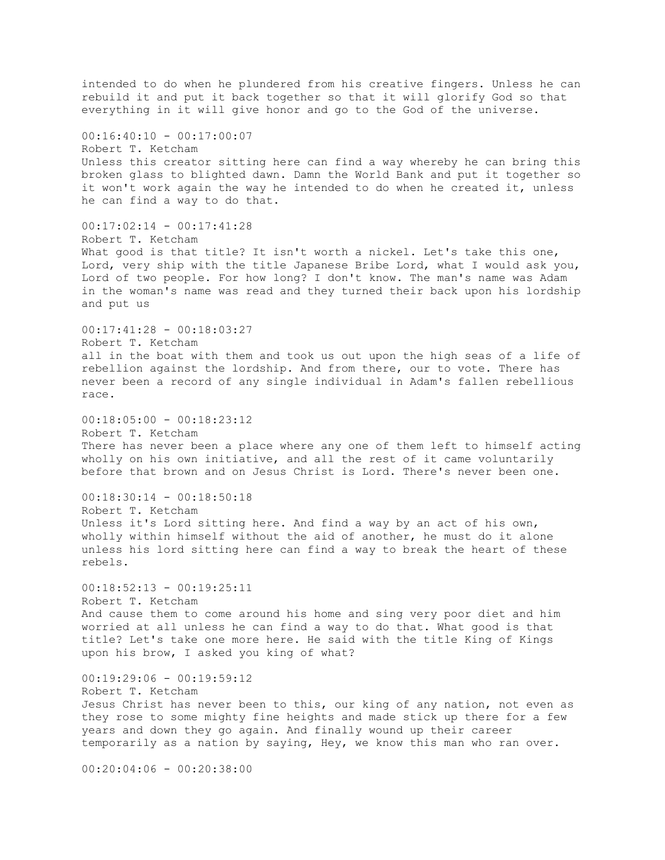intended to do when he plundered from his creative fingers. Unless he can rebuild it and put it back together so that it will glorify God so that everything in it will give honor and go to the God of the universe.  $00:16:40:10 - 00:17:00:07$ Robert T. Ketcham Unless this creator sitting here can find a way whereby he can bring this broken glass to blighted dawn. Damn the World Bank and put it together so it won't work again the way he intended to do when he created it, unless he can find a way to do that. 00:17:02:14 - 00:17:41:28 Robert T. Ketcham What good is that title? It isn't worth a nickel. Let's take this one, Lord, very ship with the title Japanese Bribe Lord, what I would ask you, Lord of two people. For how long? I don't know. The man's name was Adam in the woman's name was read and they turned their back upon his lordship and put us 00:17:41:28 - 00:18:03:27 Robert T. Ketcham all in the boat with them and took us out upon the high seas of a life of rebellion against the lordship. And from there, our to vote. There has never been a record of any single individual in Adam's fallen rebellious race.  $00:18:05:00 - 00:18:23:12$ Robert T. Ketcham There has never been a place where any one of them left to himself acting wholly on his own initiative, and all the rest of it came voluntarily before that brown and on Jesus Christ is Lord. There's never been one. 00:18:30:14 - 00:18:50:18 Robert T. Ketcham Unless it's Lord sitting here. And find a way by an act of his own, wholly within himself without the aid of another, he must do it alone unless his lord sitting here can find a way to break the heart of these rebels.  $00:18:52:13 - 00:19:25:11$ Robert T. Ketcham And cause them to come around his home and sing very poor diet and him worried at all unless he can find a way to do that. What good is that title? Let's take one more here. He said with the title King of Kings upon his brow, I asked you king of what? 00:19:29:06 - 00:19:59:12 Robert T. Ketcham Jesus Christ has never been to this, our king of any nation, not even as they rose to some mighty fine heights and made stick up there for a few years and down they go again. And finally wound up their career temporarily as a nation by saying, Hey, we know this man who ran over. 00:20:04:06 - 00:20:38:00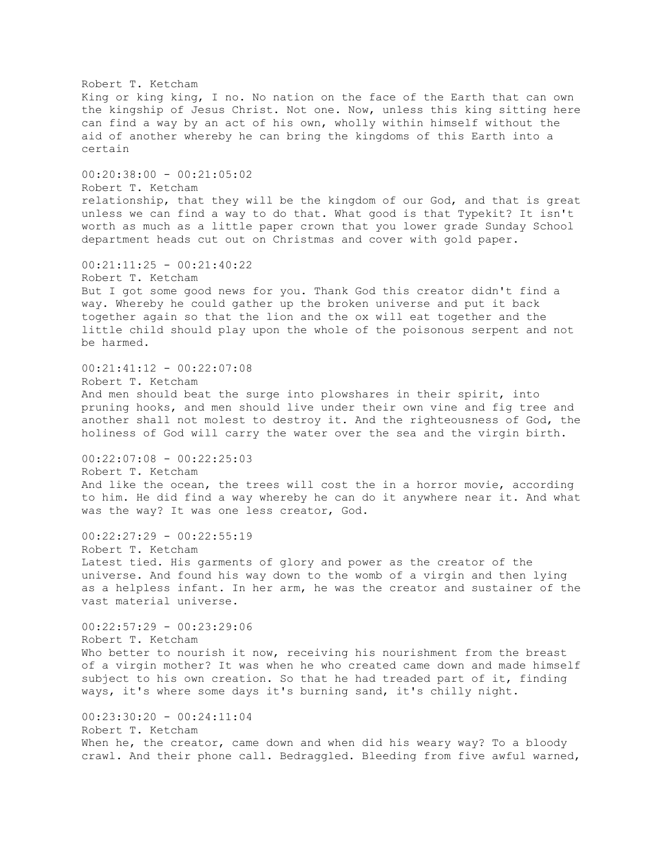Robert T. Ketcham King or king king, I no. No nation on the face of the Earth that can own the kingship of Jesus Christ. Not one. Now, unless this king sitting here can find a way by an act of his own, wholly within himself without the aid of another whereby he can bring the kingdoms of this Earth into a certain 00:20:38:00 - 00:21:05:02 Robert T. Ketcham relationship, that they will be the kingdom of our God, and that is great unless we can find a way to do that. What good is that Typekit? It isn't worth as much as a little paper crown that you lower grade Sunday School department heads cut out on Christmas and cover with gold paper. 00:21:11:25 - 00:21:40:22 Robert T. Ketcham But I got some good news for you. Thank God this creator didn't find a way. Whereby he could gather up the broken universe and put it back together again so that the lion and the ox will eat together and the little child should play upon the whole of the poisonous serpent and not be harmed. 00:21:41:12 - 00:22:07:08 Robert T. Ketcham And men should beat the surge into plowshares in their spirit, into pruning hooks, and men should live under their own vine and fig tree and another shall not molest to destroy it. And the righteousness of God, the holiness of God will carry the water over the sea and the virgin birth. 00:22:07:08 - 00:22:25:03 Robert T. Ketcham And like the ocean, the trees will cost the in a horror movie, according to him. He did find a way whereby he can do it anywhere near it. And what was the way? It was one less creator, God.  $00:22:27:29 - 00:22:55:19$ Robert T. Ketcham Latest tied. His garments of glory and power as the creator of the universe. And found his way down to the womb of a virgin and then lying as a helpless infant. In her arm, he was the creator and sustainer of the vast material universe. 00:22:57:29 - 00:23:29:06 Robert T. Ketcham Who better to nourish it now, receiving his nourishment from the breast of a virgin mother? It was when he who created came down and made himself subject to his own creation. So that he had treaded part of it, finding ways, it's where some days it's burning sand, it's chilly night. 00:23:30:20 - 00:24:11:04 Robert T. Ketcham When he, the creator, came down and when did his weary way? To a bloody crawl. And their phone call. Bedraggled. Bleeding from five awful warned,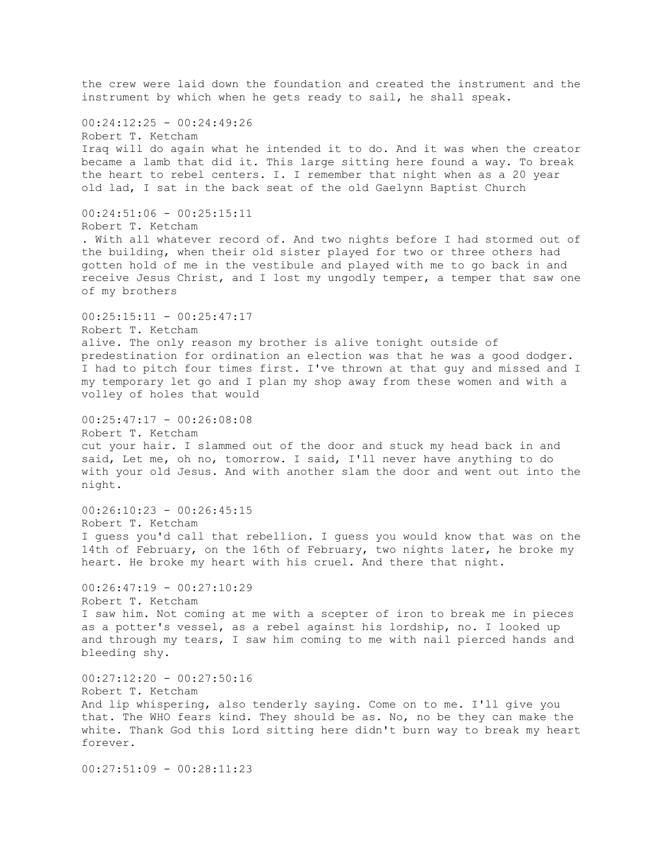the crew were laid down the foundation and created the instrument and the instrument by which when he gets ready to sail, he shall speak. 00:24:12:25 - 00:24:49:26 Robert T. Ketcham Iraq will do again what he intended it to do. And it was when the creator became a lamb that did it. This large sitting here found a way. To break the heart to rebel centers. I. I remember that night when as a 20 year old lad, I sat in the back seat of the old Gaelynn Baptist Church  $00:24:51:06 - 00:25:15:11$ Robert T. Ketcham . With all whatever record of. And two nights before I had stormed out of the building, when their old sister played for two or three others had gotten hold of me in the vestibule and played with me to go back in and receive Jesus Christ, and I lost my ungodly temper, a temper that saw one of my brothers  $00:25:15:11 - 00:25:47:17$ Robert T. Ketcham alive. The only reason my brother is alive tonight outside of predestination for ordination an election was that he was a good dodger. I had to pitch four times first. I've thrown at that guy and missed and I my temporary let go and I plan my shop away from these women and with a volley of holes that would  $00:25:47:17 - 00:26:08:08$ Robert T. Ketcham cut your hair. I slammed out of the door and stuck my head back in and said, Let me, oh no, tomorrow. I said, I'll never have anything to do with your old Jesus. And with another slam the door and went out into the night.  $00:26:10:23 - 00:26:45:15$ Robert T. Ketcham I guess you'd call that rebellion. I guess you would know that was on the 14th of February, on the 16th of February, two nights later, he broke my heart. He broke my heart with his cruel. And there that night.  $00:26:47:19 - 00:27:10:29$ Robert T. Ketcham I saw him. Not coming at me with a scepter of iron to break me in pieces as a potter's vessel, as a rebel against his lordship, no. I looked up and through my tears, I saw him coming to me with nail pierced hands and bleeding shy. 00:27:12:20 - 00:27:50:16 Robert T. Ketcham And lip whispering, also tenderly saying. Come on to me. I'll give you that. The WHO fears kind. They should be as. No, no be they can make the white. Thank God this Lord sitting here didn't burn way to break my heart forever.

00:27:51:09 - 00:28:11:23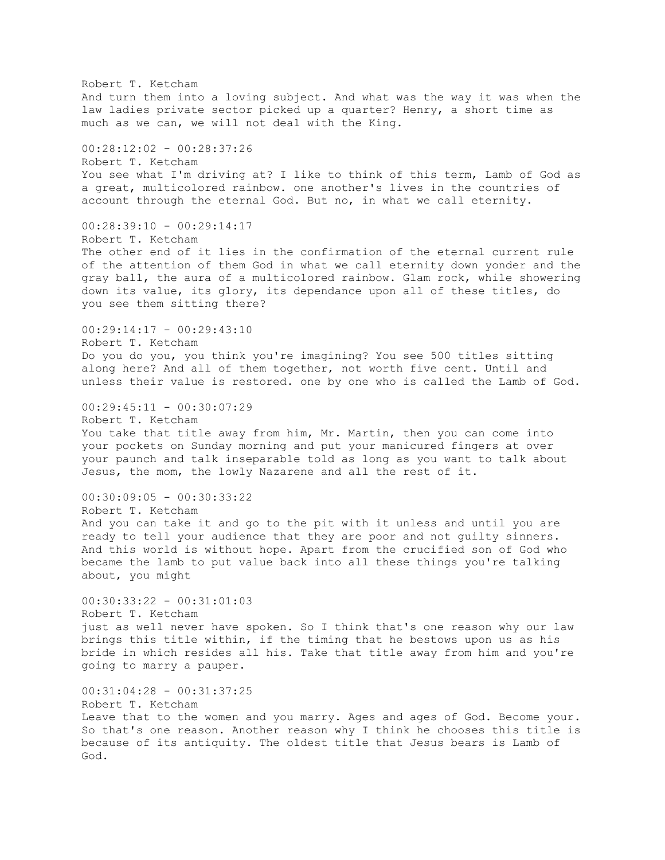Robert T. Ketcham And turn them into a loving subject. And what was the way it was when the law ladies private sector picked up a quarter? Henry, a short time as much as we can, we will not deal with the King. 00:28:12:02 - 00:28:37:26 Robert T. Ketcham You see what I'm driving at? I like to think of this term, Lamb of God as a great, multicolored rainbow. one another's lives in the countries of account through the eternal God. But no, in what we call eternity.  $00:28:39:10 - 00:29:14:17$ Robert T. Ketcham The other end of it lies in the confirmation of the eternal current rule of the attention of them God in what we call eternity down yonder and the gray ball, the aura of a multicolored rainbow. Glam rock, while showering down its value, its glory, its dependance upon all of these titles, do you see them sitting there? 00:29:14:17 - 00:29:43:10 Robert T. Ketcham Do you do you, you think you're imagining? You see 500 titles sitting along here? And all of them together, not worth five cent. Until and unless their value is restored. one by one who is called the Lamb of God.  $00:29:45:11 - 00:30:07:29$ Robert T. Ketcham You take that title away from him, Mr. Martin, then you can come into your pockets on Sunday morning and put your manicured fingers at over your paunch and talk inseparable told as long as you want to talk about Jesus, the mom, the lowly Nazarene and all the rest of it.  $00:30:09:05 - 00:30:33:22$ Robert T. Ketcham And you can take it and go to the pit with it unless and until you are ready to tell your audience that they are poor and not guilty sinners. And this world is without hope. Apart from the crucified son of God who became the lamb to put value back into all these things you're talking about, you might 00:30:33:22 - 00:31:01:03 Robert T. Ketcham just as well never have spoken. So I think that's one reason why our law brings this title within, if the timing that he bestows upon us as his bride in which resides all his. Take that title away from him and you're going to marry a pauper. 00:31:04:28 - 00:31:37:25 Robert T. Ketcham Leave that to the women and you marry. Ages and ages of God. Become your. So that's one reason. Another reason why I think he chooses this title is because of its antiquity. The oldest title that Jesus bears is Lamb of God.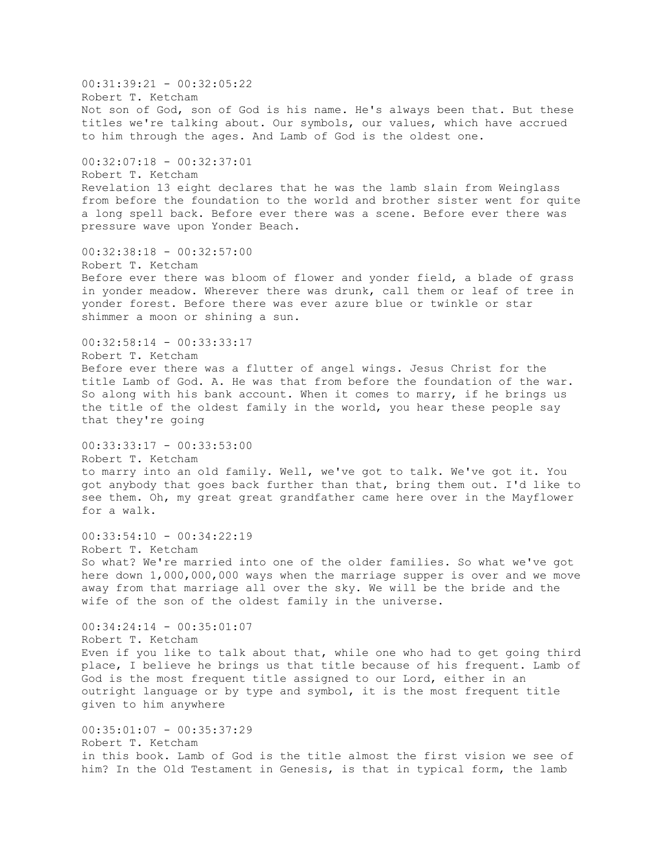$00:31:39:21 - 00:32:05:22$ Robert T. Ketcham Not son of God, son of God is his name. He's always been that. But these titles we're talking about. Our symbols, our values, which have accrued to him through the ages. And Lamb of God is the oldest one. 00:32:07:18 - 00:32:37:01 Robert T. Ketcham Revelation 13 eight declares that he was the lamb slain from Weinglass from before the foundation to the world and brother sister went for quite a long spell back. Before ever there was a scene. Before ever there was pressure wave upon Yonder Beach. 00:32:38:18 - 00:32:57:00 Robert T. Ketcham Before ever there was bloom of flower and yonder field, a blade of grass in yonder meadow. Wherever there was drunk, call them or leaf of tree in yonder forest. Before there was ever azure blue or twinkle or star shimmer a moon or shining a sun. 00:32:58:14 - 00:33:33:17 Robert T. Ketcham Before ever there was a flutter of angel wings. Jesus Christ for the title Lamb of God. A. He was that from before the foundation of the war. So along with his bank account. When it comes to marry, if he brings us the title of the oldest family in the world, you hear these people say that they're going 00:33:33:17 - 00:33:53:00 Robert T. Ketcham to marry into an old family. Well, we've got to talk. We've got it. You got anybody that goes back further than that, bring them out. I'd like to see them. Oh, my great great grandfather came here over in the Mayflower for a walk.  $00:33:54:10 - 00:34:22:19$ Robert T. Ketcham So what? We're married into one of the older families. So what we've got here down 1,000,000,000 ways when the marriage supper is over and we move away from that marriage all over the sky. We will be the bride and the wife of the son of the oldest family in the universe. 00:34:24:14 - 00:35:01:07 Robert T. Ketcham Even if you like to talk about that, while one who had to get going third place, I believe he brings us that title because of his frequent. Lamb of God is the most frequent title assigned to our Lord, either in an outright language or by type and symbol, it is the most frequent title given to him anywhere 00:35:01:07 - 00:35:37:29 Robert T. Ketcham in this book. Lamb of God is the title almost the first vision we see of him? In the Old Testament in Genesis, is that in typical form, the lamb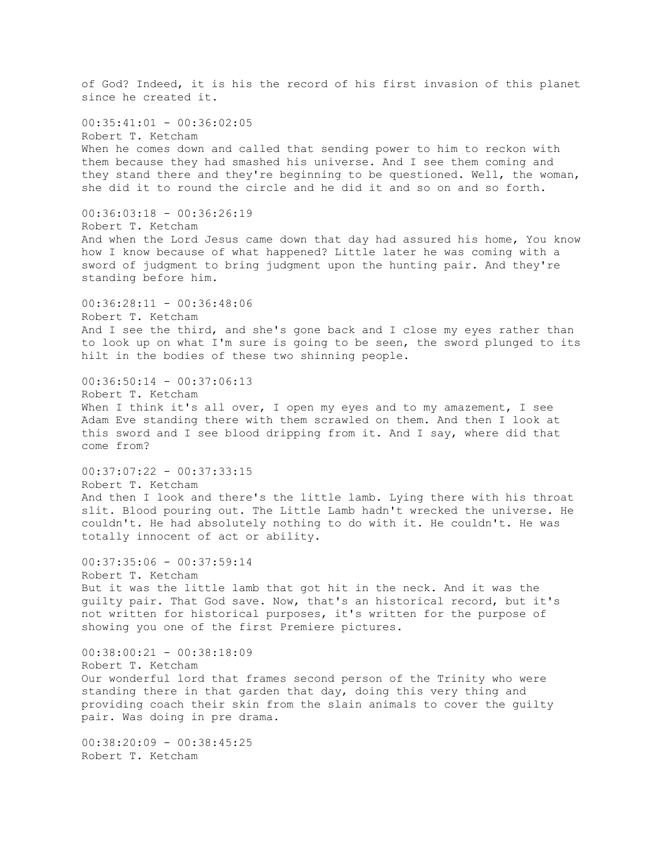of God? Indeed, it is his the record of his first invasion of this planet since he created it.  $00:35:41:01 - 00:36:02:05$ Robert T. Ketcham When he comes down and called that sending power to him to reckon with them because they had smashed his universe. And I see them coming and they stand there and they're beginning to be questioned. Well, the woman, she did it to round the circle and he did it and so on and so forth.  $00:36:03:18 - 00:36:26:19$ Robert T. Ketcham And when the Lord Jesus came down that day had assured his home, You know how I know because of what happened? Little later he was coming with a sword of judgment to bring judgment upon the hunting pair. And they're standing before him.  $00:36:28:11 - 00:36:48:06$ Robert T. Ketcham And I see the third, and she's gone back and I close my eyes rather than to look up on what I'm sure is going to be seen, the sword plunged to its hilt in the bodies of these two shinning people.  $00:36:50:14 - 00:37:06:13$ Robert T. Ketcham When I think it's all over, I open my eyes and to my amazement, I see Adam Eve standing there with them scrawled on them. And then I look at this sword and I see blood dripping from it. And I say, where did that come from? 00:37:07:22 - 00:37:33:15 Robert T. Ketcham And then I look and there's the little lamb. Lying there with his throat slit. Blood pouring out. The Little Lamb hadn't wrecked the universe. He couldn't. He had absolutely nothing to do with it. He couldn't. He was totally innocent of act or ability. 00:37:35:06 - 00:37:59:14 Robert T. Ketcham But it was the little lamb that got hit in the neck. And it was the guilty pair. That God save. Now, that's an historical record, but it's not written for historical purposes, it's written for the purpose of showing you one of the first Premiere pictures. 00:38:00:21 - 00:38:18:09 Robert T. Ketcham Our wonderful lord that frames second person of the Trinity who were standing there in that garden that day, doing this very thing and providing coach their skin from the slain animals to cover the guilty pair. Was doing in pre drama. 00:38:20:09 - 00:38:45:25 Robert T. Ketcham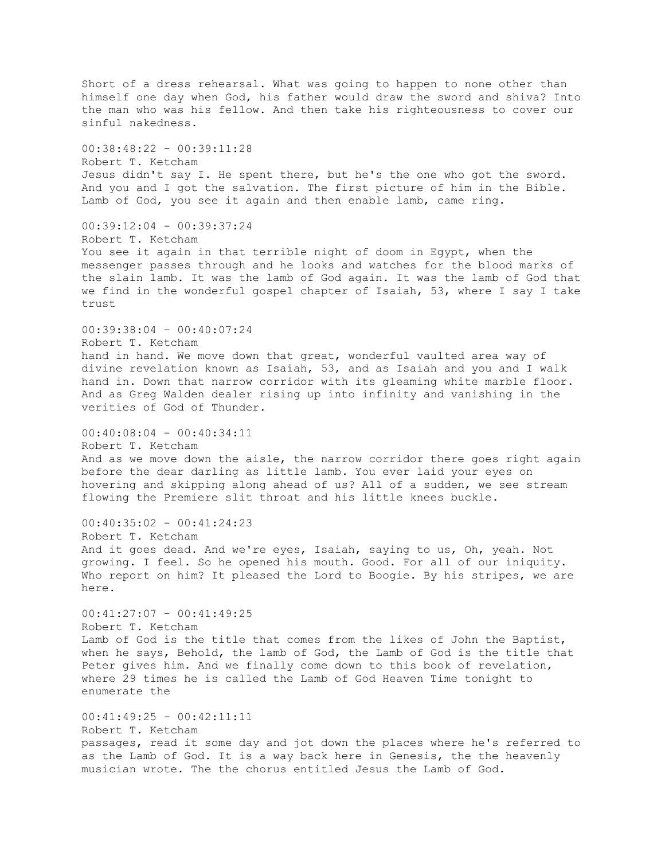Short of a dress rehearsal. What was going to happen to none other than himself one day when God, his father would draw the sword and shiva? Into the man who was his fellow. And then take his righteousness to cover our sinful nakedness. 00:38:48:22 - 00:39:11:28 Robert T. Ketcham Jesus didn't say I. He spent there, but he's the one who got the sword. And you and I got the salvation. The first picture of him in the Bible. Lamb of God, you see it again and then enable lamb, came ring. 00:39:12:04 - 00:39:37:24 Robert T. Ketcham You see it again in that terrible night of doom in Egypt, when the messenger passes through and he looks and watches for the blood marks of the slain lamb. It was the lamb of God again. It was the lamb of God that we find in the wonderful gospel chapter of Isaiah, 53, where I say I take trust 00:39:38:04 - 00:40:07:24 Robert T. Ketcham hand in hand. We move down that great, wonderful vaulted area way of divine revelation known as Isaiah, 53, and as Isaiah and you and I walk hand in. Down that narrow corridor with its gleaming white marble floor. And as Greg Walden dealer rising up into infinity and vanishing in the verities of God of Thunder.  $00:40:08:04 - 00:40:34:11$ Robert T. Ketcham And as we move down the aisle, the narrow corridor there goes right again before the dear darling as little lamb. You ever laid your eyes on hovering and skipping along ahead of us? All of a sudden, we see stream flowing the Premiere slit throat and his little knees buckle. 00:40:35:02 - 00:41:24:23 Robert T. Ketcham And it goes dead. And we're eyes, Isaiah, saying to us, Oh, yeah. Not growing. I feel. So he opened his mouth. Good. For all of our iniquity. Who report on him? It pleased the Lord to Boogie. By his stripes, we are here.  $00:41:27:07 - 00:41:49:25$ Robert T. Ketcham Lamb of God is the title that comes from the likes of John the Baptist, when he says, Behold, the lamb of God, the Lamb of God is the title that Peter gives him. And we finally come down to this book of revelation, where 29 times he is called the Lamb of God Heaven Time tonight to enumerate the  $00:41:49:25 - 00:42:11:11$ Robert T. Ketcham passages, read it some day and jot down the places where he's referred to as the Lamb of God. It is a way back here in Genesis, the the heavenly musician wrote. The the chorus entitled Jesus the Lamb of God.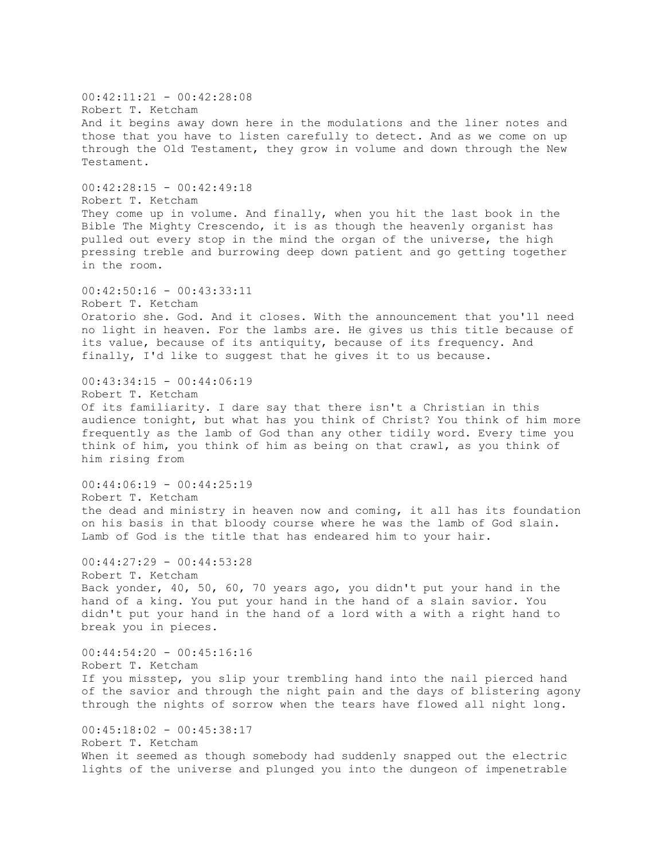00:42:11:21 - 00:42:28:08 Robert T. Ketcham And it begins away down here in the modulations and the liner notes and those that you have to listen carefully to detect. And as we come on up through the Old Testament, they grow in volume and down through the New Testament. 00:42:28:15 - 00:42:49:18 Robert T. Ketcham They come up in volume. And finally, when you hit the last book in the Bible The Mighty Crescendo, it is as though the heavenly organist has pulled out every stop in the mind the organ of the universe, the high pressing treble and burrowing deep down patient and go getting together in the room.  $00:42:50:16 - 00:43:33:11$ Robert T. Ketcham Oratorio she. God. And it closes. With the announcement that you'll need no light in heaven. For the lambs are. He gives us this title because of its value, because of its antiquity, because of its frequency. And finally, I'd like to suggest that he gives it to us because.  $00:43:34:15 - 00:44:06:19$ Robert T. Ketcham Of its familiarity. I dare say that there isn't a Christian in this audience tonight, but what has you think of Christ? You think of him more frequently as the lamb of God than any other tidily word. Every time you think of him, you think of him as being on that crawl, as you think of him rising from  $00:44:06:19 - 00:44:25:19$ Robert T. Ketcham the dead and ministry in heaven now and coming, it all has its foundation on his basis in that bloody course where he was the lamb of God slain. Lamb of God is the title that has endeared him to your hair.  $00:44:27:29 - 00:44:53:28$ Robert T. Ketcham Back yonder, 40, 50, 60, 70 years ago, you didn't put your hand in the hand of a king. You put your hand in the hand of a slain savior. You didn't put your hand in the hand of a lord with a with a right hand to break you in pieces. 00:44:54:20 - 00:45:16:16 Robert T. Ketcham If you misstep, you slip your trembling hand into the nail pierced hand of the savior and through the night pain and the days of blistering agony through the nights of sorrow when the tears have flowed all night long. 00:45:18:02 - 00:45:38:17 Robert T. Ketcham When it seemed as though somebody had suddenly snapped out the electric lights of the universe and plunged you into the dungeon of impenetrable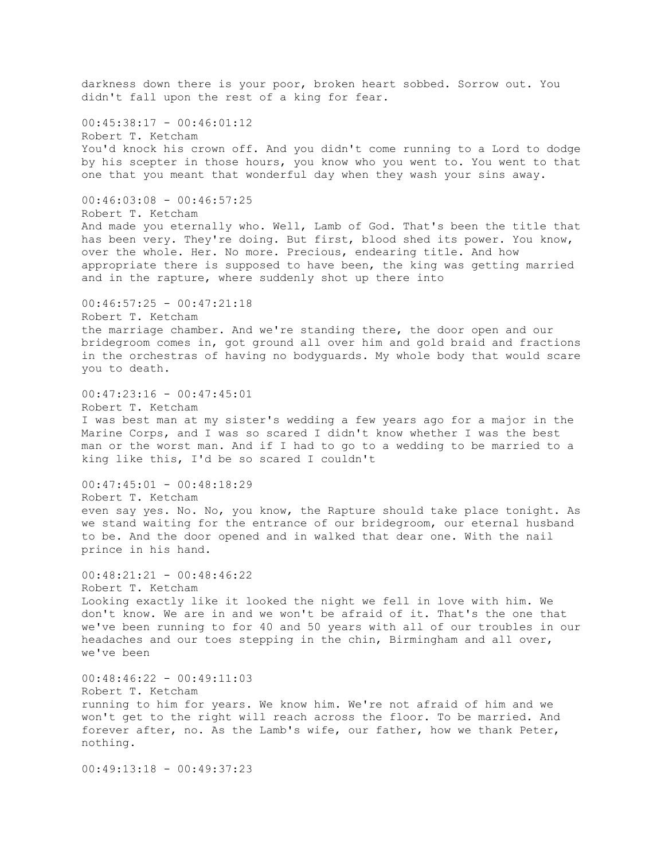darkness down there is your poor, broken heart sobbed. Sorrow out. You didn't fall upon the rest of a king for fear.  $00:45:38:17 - 00:46:01:12$ Robert T. Ketcham You'd knock his crown off. And you didn't come running to a Lord to dodge by his scepter in those hours, you know who you went to. You went to that one that you meant that wonderful day when they wash your sins away.  $00:46:03:08 - 00:46:57:25$ Robert T. Ketcham And made you eternally who. Well, Lamb of God. That's been the title that has been very. They're doing. But first, blood shed its power. You know, over the whole. Her. No more. Precious, endearing title. And how appropriate there is supposed to have been, the king was getting married and in the rapture, where suddenly shot up there into  $00:46:57:25 - 00:47:21:18$ Robert T. Ketcham the marriage chamber. And we're standing there, the door open and our bridegroom comes in, got ground all over him and gold braid and fractions in the orchestras of having no bodyguards. My whole body that would scare you to death.  $00:47:23:16 - 00:47:45:01$ Robert T. Ketcham I was best man at my sister's wedding a few years ago for a major in the Marine Corps, and I was so scared I didn't know whether I was the best man or the worst man. And if I had to go to a wedding to be married to a king like this, I'd be so scared I couldn't 00:47:45:01 - 00:48:18:29 Robert T. Ketcham even say yes. No. No, you know, the Rapture should take place tonight. As we stand waiting for the entrance of our bridegroom, our eternal husband to be. And the door opened and in walked that dear one. With the nail prince in his hand.  $00:48:21:21 - 00:48:46:22$ Robert T. Ketcham Looking exactly like it looked the night we fell in love with him. We don't know. We are in and we won't be afraid of it. That's the one that we've been running to for 40 and 50 years with all of our troubles in our headaches and our toes stepping in the chin, Birmingham and all over, we've been 00:48:46:22 - 00:49:11:03 Robert T. Ketcham running to him for years. We know him. We're not afraid of him and we won't get to the right will reach across the floor. To be married. And forever after, no. As the Lamb's wife, our father, how we thank Peter, nothing. 00:49:13:18 - 00:49:37:23